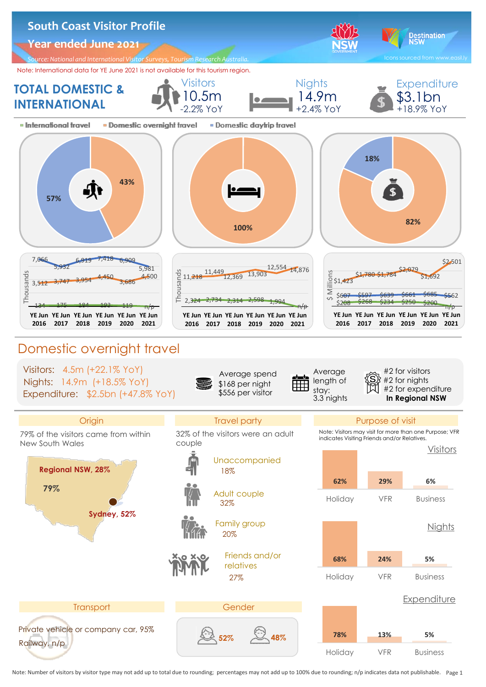

Note: Number of visitors by visitor type may not add up to total due to rounding; percentages may not add up to 100% due to rounding; n/p indicates data not publishable. Page 1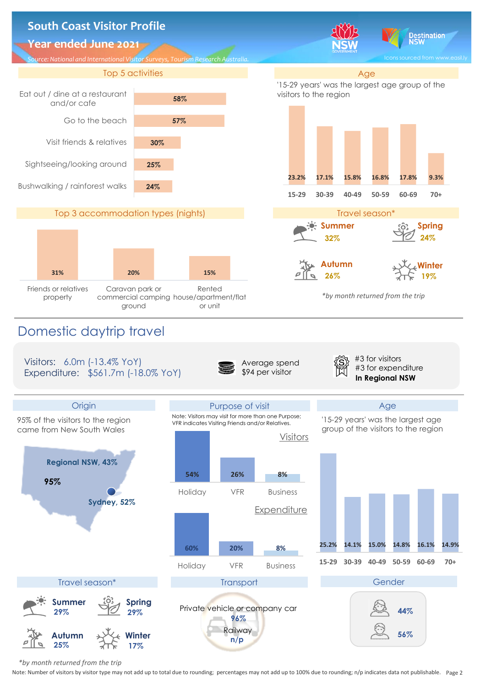

 *\*by month returned from the trip*

Note: Number of visitors by visitor type may not add up to total due to rounding; percentages may not add up to 100% due to rounding; n/p indicates data not publishable. Page 2.